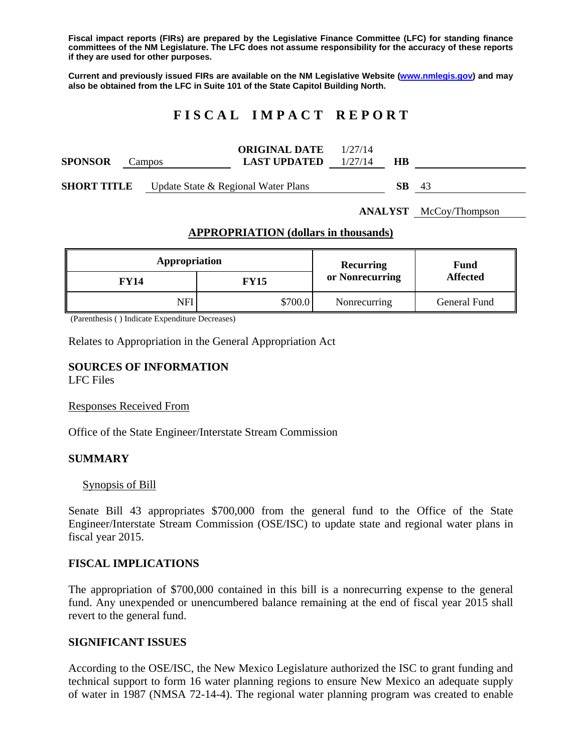**Fiscal impact reports (FIRs) are prepared by the Legislative Finance Committee (LFC) for standing finance committees of the NM Legislature. The LFC does not assume responsibility for the accuracy of these reports if they are used for other purposes.** 

**Current and previously issued FIRs are available on the NM Legislative Website (www.nmlegis.gov) and may also be obtained from the LFC in Suite 101 of the State Capitol Building North.** 

# **F I S C A L I M P A C T R E P O R T**

| SPONSOR            | Campos                                 | <b>ORIGINAL DATE</b> $1/27/14$<br><b>LAST UPDATED</b> $1/27/14$ | НB   |      |
|--------------------|----------------------------------------|-----------------------------------------------------------------|------|------|
| <b>SHORT TITLE</b> | Update State $\&$ Regional Water Plans |                                                                 | SB - | - 43 |

**ANALYST** McCoy/Thompson

### **APPROPRIATION (dollars in thousands)**

| Appropriation |             | Recurring       | Fund<br><b>Affected</b> |  |
|---------------|-------------|-----------------|-------------------------|--|
| <b>FY14</b>   | <b>FY15</b> | or Nonrecurring |                         |  |
| NFI           | \$700.0     | Nonrecurring    | General Fund            |  |

(Parenthesis ( ) Indicate Expenditure Decreases)

Relates to Appropriation in the General Appropriation Act

#### **SOURCES OF INFORMATION**  LFC Files

Responses Received From

Office of the State Engineer/Interstate Stream Commission

#### **SUMMARY**

#### Synopsis of Bill

Senate Bill 43 appropriates \$700,000 from the general fund to the Office of the State Engineer/Interstate Stream Commission (OSE/ISC) to update state and regional water plans in fiscal year 2015.

#### **FISCAL IMPLICATIONS**

The appropriation of \$700,000 contained in this bill is a nonrecurring expense to the general fund. Any unexpended or unencumbered balance remaining at the end of fiscal year 2015 shall revert to the general fund.

#### **SIGNIFICANT ISSUES**

According to the OSE/ISC, the New Mexico Legislature authorized the ISC to grant funding and technical support to form 16 water planning regions to ensure New Mexico an adequate supply of water in 1987 (NMSA 72-14-4). The regional water planning program was created to enable